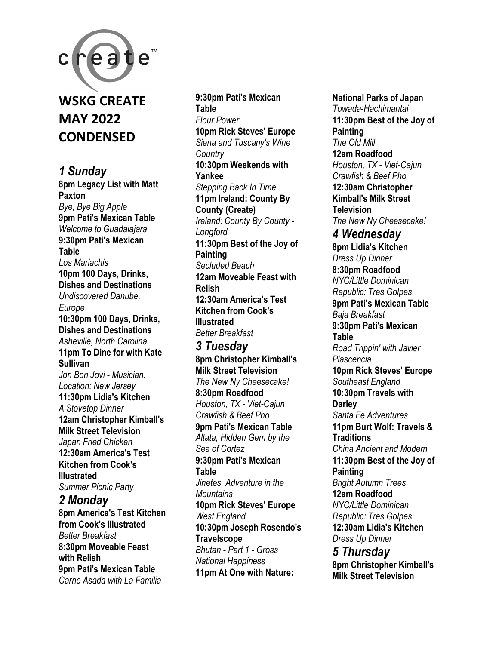

# **WSKG CREATE MAY 2022 CONDENSED**

*1 Sunday*  **8pm Legacy List with Matt Paxton**  *Bye, Bye Big Apple*  **9pm Pati's Mexican Table**  *Welcome to Guadalajara*  **9:30pm Pati's Mexican Table**  *Los Mariachis*  **10pm 100 Days, Drinks, Dishes and Destinations**  *Undiscovered Danube, Europe*  **10:30pm 100 Days, Drinks, Dishes and Destinations**  *Asheville, North Carolina*  **11pm To Dine for with Kate Sullivan**  *Jon Bon Jovi - Musician. Location: New Jersey*  **11:30pm Lidia's Kitchen**  *A Stovetop Dinner*  **12am Christopher Kimball's Milk Street Television**  *Japan Fried Chicken*  **12:30am America's Test Kitchen from Cook's Illustrated**  *Summer Picnic Party 2 Monday*  **8pm America's Test Kitchen from Cook's Illustrated**  *Better Breakfast* 

**8:30pm Moveable Feast with Relish 9pm Pati's Mexican Table**  *Carne Asada with La Familia* 

### **9:30pm Pati's Mexican Table**  *Flour Power*  **10pm Rick Steves' Europe**  *Siena and Tuscany's Wine Country*  **10:30pm Weekends with Yankee**  *Stepping Back In Time*  **11pm Ireland: County By County (Create)**  *Ireland: County By County - Longford*  **11:30pm Best of the Joy of Painting**  *Secluded Beach*  **12am Moveable Feast with Relish 12:30am America's Test Kitchen from Cook's Illustrated**  *Better Breakfast*

## *3 Tuesday*  **8pm Christopher Kimball's**

**Milk Street Television**  *The New Ny Cheesecake!*  **8:30pm Roadfood**  *Houston, TX - Viet-Cajun Crawfish & Beef Pho*  **9pm Pati's Mexican Table**  *Altata, Hidden Gem by the Sea of Cortez*  **9:30pm Pati's Mexican Table**  *Jinetes, Adventure in the Mountains*  **10pm Rick Steves' Europe**  *West England*  **10:30pm Joseph Rosendo's Travelscope**  *Bhutan - Part 1 - Gross National Happiness*  **11pm At One with Nature:** 

**National Parks of Japan**  *Towada-Hachimantai*  **11:30pm Best of the Joy of Painting**  *The Old Mill*  **12am Roadfood**  *Houston, TX - Viet-Cajun Crawfish & Beef Pho*  **12:30am Christopher Kimball's Milk Street Television**  *The New Ny Cheesecake! 4 Wednesday*  **8pm Lidia's Kitchen**  *Dress Up Dinner*  **8:30pm Roadfood**  *NYC/Little Dominican Republic: Tres Golpes*  **9pm Pati's Mexican Table**  *Baja Breakfast*  **9:30pm Pati's Mexican Table**  *Road Trippin' with Javier Plascencia*  **10pm Rick Steves' Europe**  *Southeast England*  **10:30pm Travels with Darley**  *Santa Fe Adventures*  **11pm Burt Wolf: Travels & Traditions**  *China Ancient and Modern*  **11:30pm Best of the Joy of Painting**  *Bright Autumn Trees*  **12am Roadfood**  *NYC/Little Dominican Republic: Tres Golpes*  **12:30am Lidia's Kitchen**  *Dress Up Dinner 5 Thursday* 

**8pm Christopher Kimball's Milk Street Television**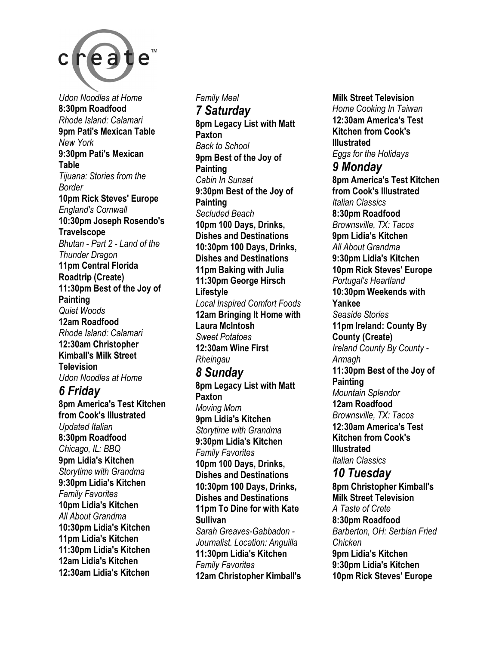

*Udon Noodles at Home*  **8:30pm Roadfood**  *Rhode Island: Calamari*  **9pm Pati's Mexican Table**  *New York*  **9:30pm Pati's Mexican Table**  *Tijuana: Stories from the Border*  **10pm Rick Steves' Europe**  *England's Cornwall*  **10:30pm Joseph Rosendo's Travelscope**  *Bhutan - Part 2 - Land of the Thunder Dragon*  **11pm Central Florida Roadtrip (Create) 11:30pm Best of the Joy of Painting**  *Quiet Woods*  **12am Roadfood**  *Rhode Island: Calamari*  **12:30am Christopher Kimball's Milk Street Television**  *Udon Noodles at Home 6 Friday*  **8pm America's Test Kitchen from Cook's Illustrated**  *Updated Italian*  **8:30pm Roadfood**  *Chicago, IL: BBQ*  **9pm Lidia's Kitchen**  *Storytime with Grandma*  **9:30pm Lidia's Kitchen**  *Family Favorites*  **10pm Lidia's Kitchen**  *All About Grandma*  **10:30pm Lidia's Kitchen 11pm Lidia's Kitchen** 

**11:30pm Lidia's Kitchen 12am Lidia's Kitchen 12:30am Lidia's Kitchen** 

*Family Meal 7 Saturday*  **8pm Legacy List with Matt Paxton**  *Back to School*  **9pm Best of the Joy of Painting**  *Cabin In Sunset*  **9:30pm Best of the Joy of Painting**  *Secluded Beach*  **10pm 100 Days, Drinks, Dishes and Destinations 10:30pm 100 Days, Drinks, Dishes and Destinations 11pm Baking with Julia 11:30pm George Hirsch Lifestyle**  *Local Inspired Comfort Foods*  **12am Bringing It Home with Laura McIntosh**  *Sweet Potatoes*  **12:30am Wine First**  *Rheingau 8 Sunday*  **8pm Legacy List with Matt Paxton**  *Moving Mom*  **9pm Lidia's Kitchen**  *Storytime with Grandma*  **9:30pm Lidia's Kitchen**  *Family Favorites*  **10pm 100 Days, Drinks, Dishes and Destinations 10:30pm 100 Days, Drinks, Dishes and Destinations 11pm To Dine for with Kate Sullivan** 

*Sarah Greaves-Gabbadon - Journalist. Location: Anguilla*  **11:30pm Lidia's Kitchen**  *Family Favorites*  **12am Christopher Kimball's**  **Milk Street Television**  *Home Cooking In Taiwan*  **12:30am America's Test Kitchen from Cook's Illustrated**  *Eggs for the Holidays 9 Monday*  **8pm America's Test Kitchen from Cook's Illustrated**  *Italian Classics*  **8:30pm Roadfood**  *Brownsville, TX: Tacos*  **9pm Lidia's Kitchen**  *All About Grandma*  **9:30pm Lidia's Kitchen 10pm Rick Steves' Europe**  *Portugal's Heartland*  **10:30pm Weekends with Yankee**  *Seaside Stories*  **11pm Ireland: County By County (Create)**  *Ireland County By County - Armagh*  **11:30pm Best of the Joy of Painting**  *Mountain Splendor*  **12am Roadfood**  *Brownsville, TX: Tacos*  **12:30am America's Test Kitchen from Cook's Illustrated**  *Italian Classics 10 Tuesday*  **8pm Christopher Kimball's Milk Street Television**  *A Taste of Crete*  **8:30pm Roadfood**  *Barberton, OH: Serbian Fried Chicken*  **9pm Lidia's Kitchen 9:30pm Lidia's Kitchen 10pm Rick Steves' Europe**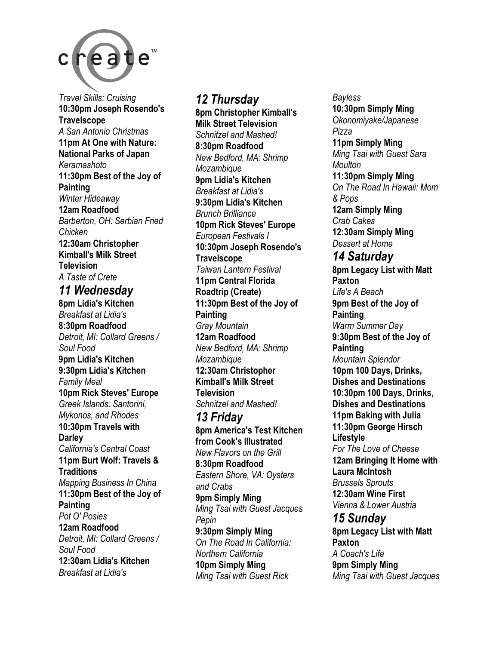

*Travel Skills: Cruising*  **10:30pm Joseph Rosendo's Travelscope**  *A San Antonio Christmas*  **11pm At One with Nature: National Parks of Japan**  *Keramashoto*  **11:30pm Best of the Joy of Painting**  *Winter Hideaway*  **12am Roadfood**  *Barberton, OH: Serbian Fried Chicken*  **12:30am Christopher Kimball's Milk Street Television**  *A Taste of Crete 11 Wednesday* 

**8pm Lidia's Kitchen**  *Breakfast at Lidia's*  **8:30pm Roadfood**  *Detroit, MI: Collard Greens / Soul Food*  **9pm Lidia's Kitchen 9:30pm Lidia's Kitchen**  *Family Meal*  **10pm Rick Steves' Europe**  *Greek Islands: Santorini, Mykonos, and Rhodes*  **10:30pm Travels with Darley**  *California's Central Coast*  **11pm Burt Wolf: Travels & Traditions**  *Mapping Business In China*  **11:30pm Best of the Joy of Painting**  *Pot O' Posies*  **12am Roadfood**  *Detroit, MI: Collard Greens / Soul Food*  **12:30am Lidia's Kitchen**  *Breakfast at Lidia's* 

## *12 Thursday*

**8pm Christopher Kimball's Milk Street Television**  *Schnitzel and Mashed!*  **8:30pm Roadfood**  *New Bedford, MA: Shrimp Mozambique*  **9pm Lidia's Kitchen**  *Breakfast at Lidia's*  **9:30pm Lidia's Kitchen**  *Brunch Brilliance*  **10pm Rick Steves' Europe**  *European Festivals I*  **10:30pm Joseph Rosendo's Travelscope**  *Taiwan Lantern Festival*  **11pm Central Florida Roadtrip (Create) 11:30pm Best of the Joy of Painting**  *Gray Mountain*  **12am Roadfood**  *New Bedford, MA: Shrimp Mozambique*  **12:30am Christopher Kimball's Milk Street Television**  *Schnitzel and Mashed! 13 Friday*  **8pm America's Test Kitchen from Cook's Illustrated**  *New Flavors on the Grill*  **8:30pm Roadfood**  *Eastern Shore, VA: Oysters and Crabs*  **9pm Simply Ming**  *Ming Tsai with Guest Jacques Pepin*  **9:30pm Simply Ming**  *On The Road In California: Northern California*  **10pm Simply Ming** 

*Ming Tsai with Guest Rick* 

*Bayless*  **10:30pm Simply Ming**  *Okonomiyake/Japanese Pizza*  **11pm Simply Ming**  *Ming Tsai with Guest Sara Moulton*  **11:30pm Simply Ming**  *On The Road In Hawaii: Mom & Pops*  **12am Simply Ming**  *Crab Cakes*  **12:30am Simply Ming**  *Dessert at Home 14 Saturday*  **8pm Legacy List with Matt Paxton**  *Life's A Beach*  **9pm Best of the Joy of Painting**  *Warm Summer Day*  **9:30pm Best of the Joy of Painting**  *Mountain Splendor*  **10pm 100 Days, Drinks, Dishes and Destinations 10:30pm 100 Days, Drinks, Dishes and Destinations 11pm Baking with Julia 11:30pm George Hirsch Lifestyle**  *For The Love of Cheese*  **12am Bringing It Home with Laura McIntosh**  *Brussels Sprouts*  **12:30am Wine First**  *Vienna & Lower Austria 15 Sunday*  **8pm Legacy List with Matt Paxton**  *A Coach's Life*  **9pm Simply Ming**  *Ming Tsai with Guest Jacques*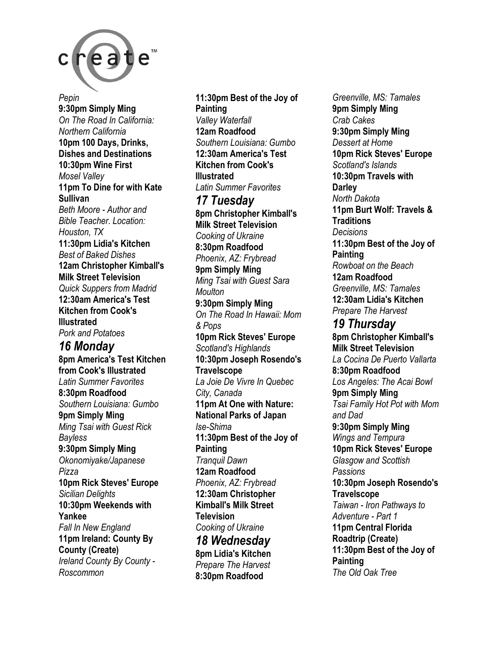

*Pepin*  **9:30pm Simply Ming**  *On The Road In California: Northern California*  **10pm 100 Days, Drinks, Dishes and Destinations 10:30pm Wine First**  *Mosel Valley*  **11pm To Dine for with Kate Sullivan**  *Beth Moore - Author and Bible Teacher. Location: Houston, TX*  **11:30pm Lidia's Kitchen**  *Best of Baked Dishes*  **12am Christopher Kimball's Milk Street Television**  *Quick Suppers from Madrid*  **12:30am America's Test Kitchen from Cook's Illustrated**  *Pork and Potatoes 16 Monday*  **8pm America's Test Kitchen from Cook's Illustrated**  *Latin Summer Favorites*  **8:30pm Roadfood**  *Southern Louisiana: Gumbo*  **9pm Simply Ming**  *Ming Tsai with Guest Rick Bayless*  **9:30pm Simply Ming**  *Okonomiyake/Japanese Pizza*  **10pm Rick Steves' Europe**  *Sicilian Delights*  **10:30pm Weekends with Yankee**  *Fall In New England*  **11pm Ireland: County By** 

**County (Create)**  *Ireland County By County - Roscommon* 

**11:30pm Best of the Joy of Painting**  *Valley Waterfall*  **12am Roadfood**  *Southern Louisiana: Gumbo*  **12:30am America's Test Kitchen from Cook's Illustrated**  *Latin Summer Favorites 17 Tuesday*  **8pm Christopher Kimball's Milk Street Television**  *Cooking of Ukraine*  **8:30pm Roadfood**  *Phoenix, AZ: Frybread*  **9pm Simply Ming**  *Ming Tsai with Guest Sara Moulton*  **9:30pm Simply Ming**  *On The Road In Hawaii: Mom & Pops*  **10pm Rick Steves' Europe**  *Scotland's Highlands*  **10:30pm Joseph Rosendo's Travelscope**  *La Joie De Vivre In Quebec City, Canada*  **11pm At One with Nature: National Parks of Japan**  *Ise-Shima*  **11:30pm Best of the Joy of Painting**  *Tranquil Dawn*  **12am Roadfood**  *Phoenix, AZ: Frybread*  **12:30am Christopher Kimball's Milk Street Television**  *Cooking of Ukraine 18 Wednesday*  **8pm Lidia's Kitchen**  *Prepare The Harvest*  **8:30pm Roadfood** 

*Greenville, MS: Tamales*  **9pm Simply Ming**  *Crab Cakes*  **9:30pm Simply Ming**  *Dessert at Home*  **10pm Rick Steves' Europe**  *Scotland's Islands*  **10:30pm Travels with Darley**  *North Dakota*  **11pm Burt Wolf: Travels & Traditions**  *Decisions*  **11:30pm Best of the Joy of Painting**  *Rowboat on the Beach*  **12am Roadfood**  *Greenville, MS: Tamales*  **12:30am Lidia's Kitchen**  *Prepare The Harvest 19 Thursday*  **8pm Christopher Kimball's Milk Street Television**  *La Cocina De Puerto Vallarta*  **8:30pm Roadfood**  *Los Angeles: The Acai Bowl*  **9pm Simply Ming**  *Tsai Family Hot Pot with Mom and Dad*  **9:30pm Simply Ming**  *Wings and Tempura*  **10pm Rick Steves' Europe**  *Glasgow and Scottish Passions*  **10:30pm Joseph Rosendo's Travelscope**  *Taiwan - Iron Pathways to Adventure - Part 1*  **11pm Central Florida Roadtrip (Create) 11:30pm Best of the Joy of Painting**  *The Old Oak Tree*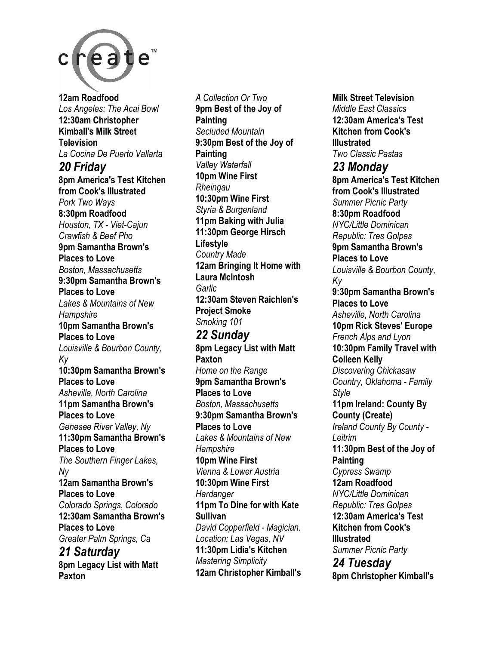

**12am Roadfood**  *Los Angeles: The Acai Bowl*  **12:30am Christopher Kimball's Milk Street Television**  *La Cocina De Puerto Vallarta 20 Friday*  **8pm America's Test Kitchen from Cook's Illustrated**  *Pork Two Ways*  **8:30pm Roadfood**  *Houston, TX - Viet-Cajun Crawfish & Beef Pho*  **9pm Samantha Brown's Places to Love**  *Boston, Massachusetts*  **9:30pm Samantha Brown's Places to Love**  *Lakes & Mountains of New Hampshire*  **10pm Samantha Brown's Places to Love**  *Louisville & Bourbon County, Ky*  **10:30pm Samantha Brown's Places to Love**  *Asheville, North Carolina*  **11pm Samantha Brown's Places to Love**  *Genesee River Valley, Ny*  **11:30pm Samantha Brown's Places to Love**  *The Southern Finger Lakes, Ny*  **12am Samantha Brown's Places to Love**  *Colorado Springs, Colorado*  **12:30am Samantha Brown's Places to Love**  *Greater Palm Springs, Ca 21 Saturday* 

**8pm Legacy List with Matt Paxton** 

*A Collection Or Two*  **9pm Best of the Joy of Painting**  *Secluded Mountain*  **9:30pm Best of the Joy of Painting**  *Valley Waterfall*  **10pm Wine First**  *Rheingau*  **10:30pm Wine First**  *Styria & Burgenland*  **11pm Baking with Julia 11:30pm George Hirsch Lifestyle**  *Country Made*  **12am Bringing It Home with Laura McIntosh**  *Garlic*  **12:30am Steven Raichlen's Project Smoke**  *Smoking 101* 

*22 Sunday*  **8pm Legacy List with Matt Paxton**  *Home on the Range*  **9pm Samantha Brown's Places to Love**  *Boston, Massachusetts*  **9:30pm Samantha Brown's Places to Love**  *Lakes & Mountains of New Hampshire*  **10pm Wine First**  *Vienna & Lower Austria*  **10:30pm Wine First**  *Hardanger*  **11pm To Dine for with Kate Sullivan**  *David Copperfield - Magician. Location: Las Vegas, NV*  **11:30pm Lidia's Kitchen**  *Mastering Simplicity*  **12am Christopher Kimball's**  **Milk Street Television**  *Middle East Classics*  **12:30am America's Test Kitchen from Cook's Illustrated**  *Two Classic Pastas 23 Monday*  **8pm America's Test Kitchen from Cook's Illustrated**  *Summer Picnic Party*  **8:30pm Roadfood**  *NYC/Little Dominican Republic: Tres Golpes*  **9pm Samantha Brown's Places to Love**  *Louisville & Bourbon County, Ky*  **9:30pm Samantha Brown's Places to Love**  *Asheville, North Carolina*  **10pm Rick Steves' Europe**  *French Alps and Lyon*  **10:30pm Family Travel with Colleen Kelly**  *Discovering Chickasaw Country, Oklahoma - Family Style*  **11pm Ireland: County By County (Create)**  *Ireland County By County - Leitrim*  **11:30pm Best of the Joy of Painting**  *Cypress Swamp*  **12am Roadfood**  *NYC/Little Dominican Republic: Tres Golpes*  **12:30am America's Test Kitchen from Cook's Illustrated**  *Summer Picnic Party 24 Tuesday* 

**8pm Christopher Kimball's**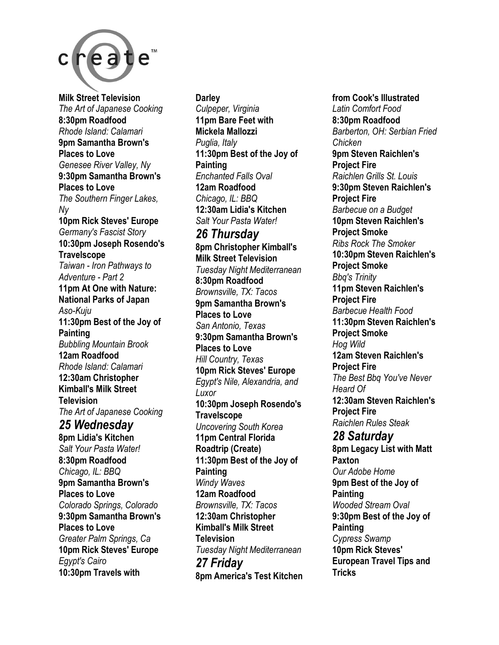

**Milk Street Television**  *The Art of Japanese Cooking*  **8:30pm Roadfood**  *Rhode Island: Calamari*  **9pm Samantha Brown's Places to Love**  *Genesee River Valley, Ny*  **9:30pm Samantha Brown's Places to Love**  *The Southern Finger Lakes, Ny*  **10pm Rick Steves' Europe**  *Germany's Fascist Story*  **10:30pm Joseph Rosendo's Travelscope**  *Taiwan - Iron Pathways to Adventure - Part 2*  **11pm At One with Nature: National Parks of Japan**  *Aso-Kuju*  **11:30pm Best of the Joy of Painting**  *Bubbling Mountain Brook*  **12am Roadfood**  *Rhode Island: Calamari*  **12:30am Christopher Kimball's Milk Street Television**  *The Art of Japanese Cooking 25 Wednesday*  **8pm Lidia's Kitchen**  *Salt Your Pasta Water!*  **8:30pm Roadfood**  *Chicago, IL: BBQ*  **9pm Samantha Brown's Places to Love** 

*Colorado Springs, Colorado*  **9:30pm Samantha Brown's Places to Love**  *Greater Palm Springs, Ca*  **10pm Rick Steves' Europe**  *Egypt's Cairo*  **10:30pm Travels with** 

**Darley**  *Culpeper, Virginia*  **11pm Bare Feet with Mickela Mallozzi**  *Puglia, Italy*  **11:30pm Best of the Joy of Painting**  *Enchanted Falls Oval*  **12am Roadfood**  *Chicago, IL: BBQ*  **12:30am Lidia's Kitchen**  *Salt Your Pasta Water! 26 Thursday*  **8pm Christopher Kimball's Milk Street Television**  *Tuesday Night Mediterranean*  **8:30pm Roadfood**  *Brownsville, TX: Tacos*  **9pm Samantha Brown's Places to Love**  *San Antonio, Texas*  **9:30pm Samantha Brown's Places to Love**  *Hill Country, Texas*  **10pm Rick Steves' Europe**  *Egypt's Nile, Alexandria, and Luxor*  **10:30pm Joseph Rosendo's Travelscope**  *Uncovering South Korea*  **11pm Central Florida Roadtrip (Create) 11:30pm Best of the Joy of Painting**  *Windy Waves*  **12am Roadfood**  *Brownsville, TX: Tacos*  **12:30am Christopher Kimball's Milk Street Television**  *Tuesday Night Mediterranean 27 Friday*  **8pm America's Test Kitchen** 

**from Cook's Illustrated**  *Latin Comfort Food*  **8:30pm Roadfood**  *Barberton, OH: Serbian Fried Chicken*  **9pm Steven Raichlen's Project Fire**  *Raichlen Grills St. Louis*  **9:30pm Steven Raichlen's Project Fire**  *Barbecue on a Budget*  **10pm Steven Raichlen's Project Smoke**  *Ribs Rock The Smoker*  **10:30pm Steven Raichlen's Project Smoke**  *Bbq's Trinity*  **11pm Steven Raichlen's Project Fire**  *Barbecue Health Food*  **11:30pm Steven Raichlen's Project Smoke**  *Hog Wild*  **12am Steven Raichlen's Project Fire**  *The Best Bbq You've Never Heard Of*  **12:30am Steven Raichlen's Project Fire**  *Raichlen Rules Steak 28 Saturday*  **8pm Legacy List with Matt Paxton**  *Our Adobe Home*  **9pm Best of the Joy of Painting**  *Wooded Stream Oval*  **9:30pm Best of the Joy of Painting**  *Cypress Swamp*  **10pm Rick Steves' European Travel Tips and Tricks**